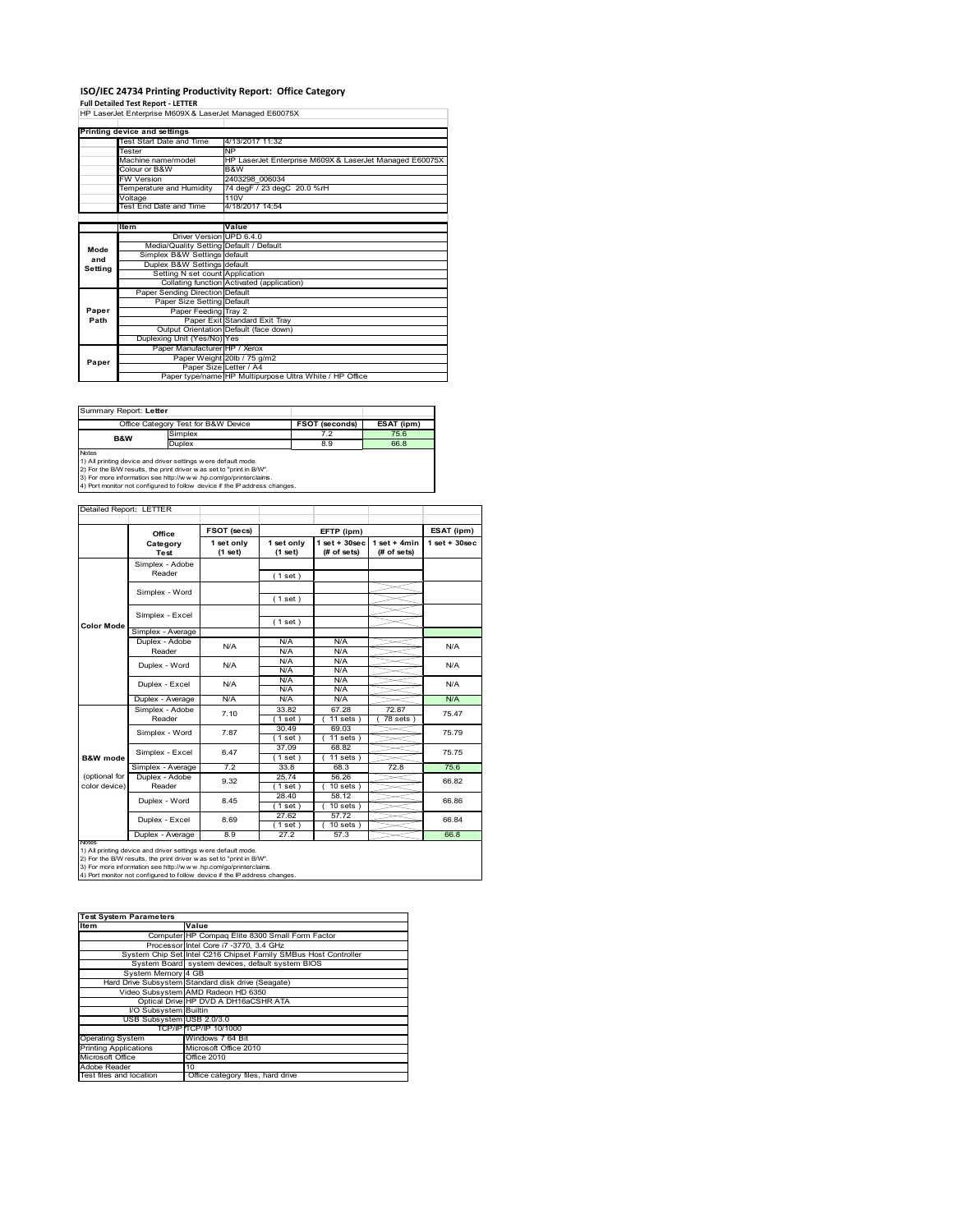# **ISO/IEC 24734 Printing Productivity Report: Office Category Full Detailed Test Report ‐ LETTER** HP LaserJet Enterprise M609X & LaserJet Managed E60075X

|         | Printing device and settings            |                                                         |
|---------|-----------------------------------------|---------------------------------------------------------|
|         | Test Start Date and Time                | 4/13/2017 11:32                                         |
|         | <b>Tester</b>                           | <b>NP</b>                                               |
|         | Machine name/model                      | HP LaserJet Enterprise M609X & LaserJet Managed E60075X |
|         | Colour or B&W                           | B&W                                                     |
|         | <b>FW Version</b>                       | 2403298 006034                                          |
|         | Temperature and Humidity                | 74 degF / 23 degC 20.0 %rH                              |
|         | Voltage                                 | 110V                                                    |
|         | Test End Date and Time                  | 4/18/2017 14:54                                         |
|         |                                         |                                                         |
|         | ltem                                    | Value                                                   |
|         | Driver Version UPD 6.4.0                |                                                         |
| Mode    | Media/Quality Setting Default / Default |                                                         |
| and     | Simplex B&W Settings default            |                                                         |
| Setting | Duplex B&W Settings default             |                                                         |
|         | Setting N set count Application         |                                                         |
|         |                                         | Collating function Activated (application)              |
|         | Paper Sending Direction Default         |                                                         |
|         | Paper Size Setting Default              |                                                         |
| Paper   | Paper Feeding Tray 2                    |                                                         |
| Path    |                                         | Paper Exit Standard Exit Tray                           |
|         |                                         | Output Orientation Default (face down)                  |
|         | Duplexing Unit (Yes/No) Yes             |                                                         |
|         | Paper Manufacturer HP / Xerox           |                                                         |
| Paper   |                                         | Paper Weight 20lb / 75 g/m2                             |
|         |                                         | Paper Size Letter / A4                                  |
|         |                                         | Paper type/name HP Multipurpose Ultra White / HP Office |

Summary Report: **Letter**

|                                                                            | Office Category Test for B&W Device                           | <b>FSOT (seconds)</b> | ESAT (ipm) |  |  |  |  |
|----------------------------------------------------------------------------|---------------------------------------------------------------|-----------------------|------------|--|--|--|--|
| <b>B&amp;W</b>                                                             | Simplex                                                       | 7.2                   | 75.6       |  |  |  |  |
|                                                                            | <b>Duplex</b>                                                 | 8.9                   | 66.8       |  |  |  |  |
| <b>Notes</b>                                                               |                                                               |                       |            |  |  |  |  |
|                                                                            | 1) All printing device and driver settings were default mode. |                       |            |  |  |  |  |
| 2) For the B/W results, the print driver was set to "print in B/W".        |                                                               |                       |            |  |  |  |  |
| 3) For more information see http://www.hp.com/go/printerclaims.            |                                                               |                       |            |  |  |  |  |
| 4) Port monitor not configured to follow device if the IP address changes. |                                                               |                       |            |  |  |  |  |

T

### Detailed Report: LETTER

|                                | Office                    | <b>FSOT (secs)</b>    |                       | EFTP (ipm)                         |                               | ESAT (ipm)        |
|--------------------------------|---------------------------|-----------------------|-----------------------|------------------------------------|-------------------------------|-------------------|
|                                | Category<br>Test          | 1 set only<br>(1 set) | 1 set only<br>(1 set) | $1$ set + $30$ sec<br>$#$ of sets) | $1$ set + 4min<br>(# of sets) | $1$ set $+30$ sec |
|                                | Simplex - Adobe<br>Reader |                       | (1 set)               |                                    |                               |                   |
|                                | Simplex - Word            |                       | (1 set)               |                                    |                               |                   |
| <b>Color Mode</b>              | Simplex - Excel           |                       | (1 set)               |                                    |                               |                   |
|                                | Simplex - Average         |                       |                       |                                    |                               |                   |
|                                | Duplex - Adobe<br>Reader  | N/A                   | N/A<br>N/A            | N/A<br>N/A                         |                               | N/A               |
|                                | Duplex - Word             | N/A                   | N/A<br>N/A            | N/A<br>N/A                         |                               | N/A               |
|                                | Duplex - Excel            | N/A                   | N/A<br>N/A            | N/A<br>N/A                         |                               | N/A               |
|                                | Duplex - Average          | N/A                   | N/A                   | N/A                                |                               | N/A               |
|                                | Simplex - Adobe<br>Reader | 7.10                  | 33.82<br>$1$ set)     | 67.28<br>$11$ sets $)$             | 72.87<br>78 sets )            | 75.47             |
|                                | Simplex - Word            | 7.87                  | 30.49<br>(1 set)      | 69.03<br>$11$ sets $)$             |                               | 75.79             |
| <b>B&amp;W</b> mode            | Simplex - Excel           | 6.47                  | 37.09<br>$1$ set)     | 68.82<br>$11 sets$ )               |                               | 75.75             |
|                                | Simplex - Average         | 7.2                   | 33.8                  | 68.3                               | 72.8                          | 75.6              |
| (optional for<br>color device) | Duplex - Adobe<br>Reader  | 9.32                  | 25.74<br>$1$ set)     | 56.26<br>$10 sets$ )               |                               | 66.82             |
|                                | Duplex - Word             | 8.45                  | 28.40<br>$1$ set)     | 58.12<br>$10 sets$ )               |                               | 66.86             |
|                                | Duplex - Excel            | 8.69                  | 27.62<br>$1$ set)     | 57.72<br>$10$ sets $)$             |                               | 66.84             |
| <b><i><u>RINTAGE</u></i></b>   | Duplex - Average          | 8.9                   | 27.2                  | 57.3                               |                               | 66.8              |

Ī

Notes<br>1) All printing device and driver settings were default mode.<br>2) For the B/W results, the print driver was set to "print in B/W".<br>3) For more information see http://www.hp.com/go/printerclaims.<br>4) Por more informati

| <b>Test System Parameters</b> |                                                                 |  |  |  |
|-------------------------------|-----------------------------------------------------------------|--|--|--|
| Item                          | Value                                                           |  |  |  |
|                               | Computer HP Compaq Elite 8300 Small Form Factor                 |  |  |  |
|                               | Processor Intel Core i7 -3770, 3.4 GHz                          |  |  |  |
|                               | System Chip Set Intel C216 Chipset Family SMBus Host Controller |  |  |  |
|                               | System Board system devices, default system BIOS                |  |  |  |
| System Memory 4 GB            |                                                                 |  |  |  |
|                               | Hard Drive Subsystem Standard disk drive (Seagate)              |  |  |  |
|                               | Video Subsystem AMD Radeon HD 6350                              |  |  |  |
|                               | Optical Drive HP DVD A DH16aCSHR ATA                            |  |  |  |
| I/O Subsystem Builtin         |                                                                 |  |  |  |
| USB Subsystem USB 2.0/3.0     |                                                                 |  |  |  |
|                               | TCP/IP TCP/IP 10/1000                                           |  |  |  |
| <b>Operating System</b>       | Windows 7 64 Bit                                                |  |  |  |
| <b>Printing Applications</b>  | Microsoft Office 2010                                           |  |  |  |
| Microsoft Office              | <b>Office 2010</b>                                              |  |  |  |
| Adobe Reader                  | 10                                                              |  |  |  |
| Test files and location       | Office category files, hard drive                               |  |  |  |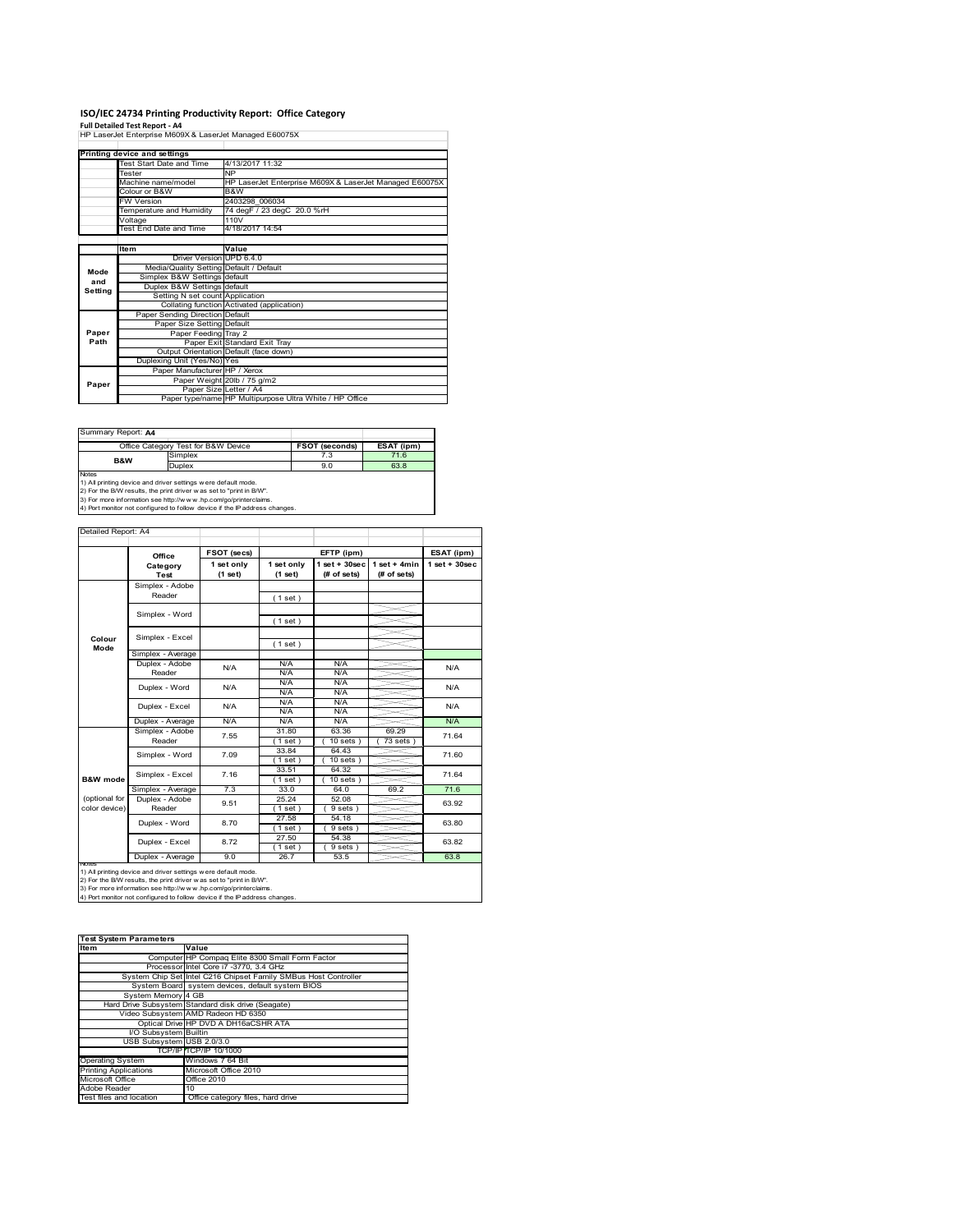## **ISO/IEC 24734 Printing Productivity Report: Office Category Full Detailed Test Report ‐ A4** HP LaserJet Enterprise M609X & LaserJet Managed E60075X

|         | Printing device and settings            |                                                         |
|---------|-----------------------------------------|---------------------------------------------------------|
|         | Test Start Date and Time                | 4/13/2017 11:32                                         |
|         | Tester                                  | NP                                                      |
|         | Machine name/model                      | HP LaserJet Enterprise M609X & LaserJet Managed E60075X |
|         | Colour or B&W                           | B&W                                                     |
|         | <b>FW Version</b>                       | 2403298 006034                                          |
|         | Temperature and Humidity                | 74 degF / 23 degC 20.0 %rH                              |
|         | Voltage                                 | 110V                                                    |
|         | <b>Test End Date and Time</b>           | 4/18/2017 14:54                                         |
|         |                                         |                                                         |
|         | Item                                    | Value                                                   |
|         | Driver Version UPD 6.4.0                |                                                         |
| Mode    | Media/Quality Setting Default / Default |                                                         |
| and     | Simplex B&W Settings default            |                                                         |
| Setting | Duplex B&W Settings default             |                                                         |
|         | Setting N set count Application         |                                                         |
|         |                                         | Collating function Activated (application)              |
|         | Paper Sending Direction Default         |                                                         |
|         | Paper Size Setting Default              |                                                         |
| Paper   | Paper Feeding Tray 2                    |                                                         |
| Path    |                                         | Paper Exit Standard Exit Tray                           |
|         |                                         | Output Orientation Default (face down)                  |
|         | Duplexing Unit (Yes/No) Yes             |                                                         |
|         | Paper Manufacturer HP / Xerox           |                                                         |
| Paper   |                                         | Paper Weight 20lb / 75 g/m2                             |
|         | Paper Size Letter / A4                  |                                                         |
|         |                                         | Paper type/name HP Multipurpose Ultra White / HP Office |

| Summary Report: A4 |                                                               |                |            |
|--------------------|---------------------------------------------------------------|----------------|------------|
|                    | Office Category Test for B&W Device                           | FSOT (seconds) | ESAT (ipm) |
| B&W                | Simplex                                                       | 7.3            | 71.6       |
|                    | Duplex                                                        | 9.0            | 63.8       |
| <b>Notes</b>       |                                                               |                |            |
|                    | 1) All printing device and driver settings were default mode. |                |            |

1) All printing device and driver settings were default mode.<br>2) For the B/W results, the print driver was set to "print in B/W".<br>3) For more information see http://www.hp.com/go/printerclaims.<br>4) Port monitor not configur

|                                | Office                    | FSOT (secs)           | EFTP (ipm)            |                                    |                               | ESAT (ipm)         |
|--------------------------------|---------------------------|-----------------------|-----------------------|------------------------------------|-------------------------------|--------------------|
|                                | Category<br>Test          | 1 set only<br>(1 set) | 1 set only<br>(1 set) | $1$ set + $30$ sec<br>$#$ of sets) | $1$ set + 4min<br>(# of sets) | $1$ set + $30$ sec |
|                                | Simplex - Adobe<br>Reader |                       | (1 set)               |                                    |                               |                    |
|                                | Simplex - Word            |                       | (1 set)               |                                    |                               |                    |
| Colour<br>Mode                 | Simplex - Excel           |                       | (1 set)               |                                    |                               |                    |
|                                | Simplex - Average         |                       |                       |                                    |                               |                    |
|                                | Duplex - Adobe<br>Reader  | N/A                   | N/A<br>N/A            | N/A<br>N/A                         |                               | N/A                |
|                                | Duplex - Word             | N/A                   | N/A<br>N/A            | N/A<br>N/A                         |                               | N/A                |
|                                | Duplex - Excel            | N/A                   | N/A<br>N/A            | N/A<br>N/A                         |                               | N/A                |
|                                | Duplex - Average          | N/A                   | N/A                   | N/A                                |                               | N/A                |
|                                | Simplex - Adobe<br>Reader | 7.55                  | 31.80<br>(1 set)      | 63.36<br>$10$ sets $)$             | 69.29<br>73 sets              | 71.64              |
|                                | Simplex - Word            | 7.09                  | 33.84<br>$1$ set)     | 64.43<br>$10$ sets $)$             |                               | 71.60              |
| <b>B&amp;W</b> mode            | Simplex - Excel           | 7.16                  | 33.51<br>$1$ set)     | 64.32<br>$10$ sets $)$             |                               | 71.64              |
|                                | Simplex - Average         | 7.3                   | 33.0                  | 64.0                               | 69.2                          | 71.6               |
| (optional for<br>color device) | Duplex - Adobe<br>Reader  | 9.51                  | 25.24<br>$1$ set)     | 52.08<br>9 sets)                   |                               | 63.92              |
|                                | Duplex - Word             | 8.70                  | 27.58<br>$1$ set)     | 54.18<br>9 sets)                   |                               | 63.80              |
|                                | Duplex - Excel            | 8.72                  | 27.50<br>$1$ set)     | 54.38<br>9 sets)                   |                               | 63.82              |
|                                | Duplex - Average          | 9.0                   | 26.7                  | 53.5                               |                               | 63.8               |

nous<br>1) All printing device and driver settings were default mode.<br>2) For the B/W results, the print driver was set to "print in B/W".<br>3) For more information see http://www.hp.com/go/printerclaims.<br>4) Por more information

| <b>Test System Parameters</b> |                                                                 |  |  |  |
|-------------------------------|-----------------------------------------------------------------|--|--|--|
| <b>Item</b>                   | Value                                                           |  |  |  |
|                               | Computer HP Compaq Elite 8300 Small Form Factor                 |  |  |  |
|                               | Processor Intel Core i7 -3770, 3.4 GHz                          |  |  |  |
|                               | System Chip Set Intel C216 Chipset Family SMBus Host Controller |  |  |  |
|                               | System Board system devices, default system BIOS                |  |  |  |
| System Memory 4 GB            |                                                                 |  |  |  |
|                               | Hard Drive Subsystem Standard disk drive (Seagate)              |  |  |  |
|                               | Video Subsystem AMD Radeon HD 6350                              |  |  |  |
|                               | Optical Drive HP DVD A DH16aCSHR ATA                            |  |  |  |
| I/O Subsystem Builtin         |                                                                 |  |  |  |
| USB Subsystem USB 2.0/3.0     |                                                                 |  |  |  |
|                               | TCP/IPITCP/IP 10/1000                                           |  |  |  |
| <b>Operating System</b>       | Windows 7 64 Bit                                                |  |  |  |
| <b>Printing Applications</b>  | Microsoft Office 2010                                           |  |  |  |
| Microsoft Office              | <b>Office 2010</b>                                              |  |  |  |
| Adobe Reader                  | 10                                                              |  |  |  |
| Test files and location       | Office category files, hard drive                               |  |  |  |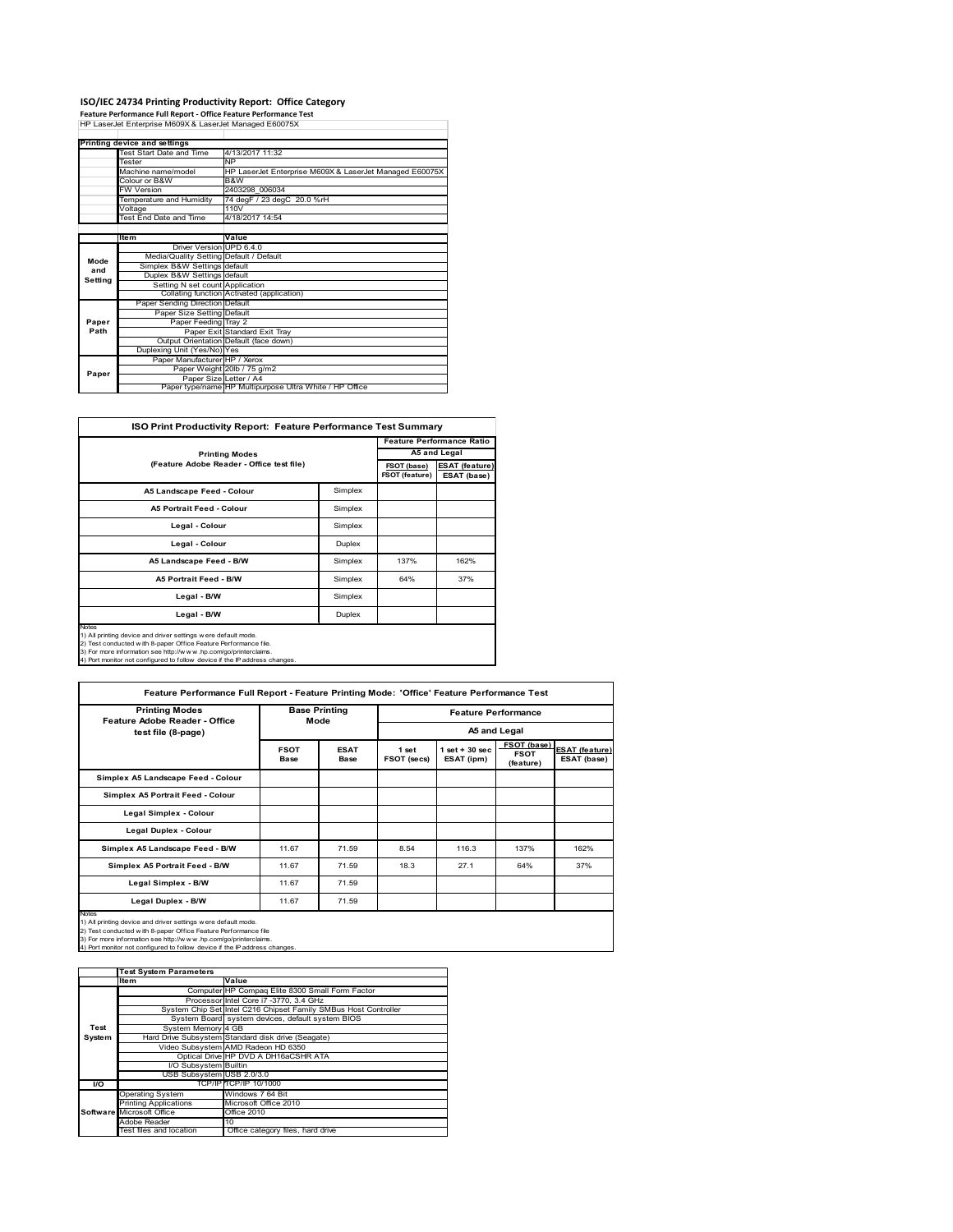## **ISO/IEC 24734 Printing Productivity Report: Office Category Feature Performance Full Report ‐ Office Feature Performance Test** HP LaserJet Enterprise M609X & LaserJet Managed E60075X

|         | Printing device and settings            |                                                         |  |  |  |
|---------|-----------------------------------------|---------------------------------------------------------|--|--|--|
|         | Test Start Date and Time                | 4/13/2017 11:32                                         |  |  |  |
|         | Tester                                  | <b>NP</b>                                               |  |  |  |
|         | Machine name/model                      | HP LaserJet Enterprise M609X & LaserJet Managed E60075X |  |  |  |
|         | Colour or B&W                           | B&W                                                     |  |  |  |
|         | <b>FW Version</b>                       | 2403298 006034                                          |  |  |  |
|         | Temperature and Humidity                | 74 degF / 23 degC 20.0 %rH                              |  |  |  |
|         | Voltage                                 | 110V                                                    |  |  |  |
|         | Test End Date and Time                  | 4/18/2017 14:54                                         |  |  |  |
|         |                                         |                                                         |  |  |  |
|         | Item                                    | Value                                                   |  |  |  |
|         | Driver Version UPD 6.4.0                |                                                         |  |  |  |
| Mode    | Media/Quality Setting Default / Default |                                                         |  |  |  |
| and     | Simplex B&W Settings default            |                                                         |  |  |  |
| Setting | Duplex B&W Settings default             |                                                         |  |  |  |
|         | Setting N set count Application         |                                                         |  |  |  |
|         |                                         | Collating function Activated (application)              |  |  |  |
|         | Paper Sending Direction Default         |                                                         |  |  |  |
|         | Paper Size Setting Default              |                                                         |  |  |  |
| Paper   | Paper Feeding Tray 2                    |                                                         |  |  |  |
| Path    |                                         | Paper Exit Standard Exit Tray                           |  |  |  |
|         |                                         | Output Orientation Default (face down)                  |  |  |  |
|         | Duplexing Unit (Yes/No) Yes             |                                                         |  |  |  |
|         | Paper Manufacturer HP / Xerox           |                                                         |  |  |  |
| Paper   |                                         | Paper Weight 20lb / 75 g/m2                             |  |  |  |
|         | Paper Size Letter / A4                  |                                                         |  |  |  |
|         |                                         | Paper type/name HP Multipurpose Ultra White / HP Office |  |  |  |

| <b>ISO Print Productivity Report: Feature Performance Test Summary</b>                                                                                                                                                |                                           |      |                                  |  |  |
|-----------------------------------------------------------------------------------------------------------------------------------------------------------------------------------------------------------------------|-------------------------------------------|------|----------------------------------|--|--|
|                                                                                                                                                                                                                       |                                           |      | <b>Feature Performance Ratio</b> |  |  |
| <b>Printing Modes</b>                                                                                                                                                                                                 |                                           |      | A5 and Legal                     |  |  |
|                                                                                                                                                                                                                       | (Feature Adobe Reader - Office test file) |      |                                  |  |  |
| A5 Landscape Feed - Colour                                                                                                                                                                                            | Simplex                                   |      |                                  |  |  |
| <b>A5 Portrait Feed - Colour</b>                                                                                                                                                                                      | Simplex                                   |      |                                  |  |  |
| Legal - Colour                                                                                                                                                                                                        | Simplex                                   |      |                                  |  |  |
| Legal - Colour                                                                                                                                                                                                        | Duplex                                    |      |                                  |  |  |
| A5 Landscape Feed - B/W                                                                                                                                                                                               | Simplex                                   | 137% | 162%                             |  |  |
| <b>A5 Portrait Feed - B/W</b>                                                                                                                                                                                         | Simplex                                   | 64%  | 37%                              |  |  |
| Legal - B/W                                                                                                                                                                                                           | Simplex                                   |      |                                  |  |  |
| Legal - B/W                                                                                                                                                                                                           | Duplex                                    |      |                                  |  |  |
| <b>Notes</b><br>1) All printing device and driver settings were default mode.<br>2) Test conducted with 8-paper Office Feature Performance file.<br>3) For more information see http://w.w.w. hp.com/go/printerclaims |                                           |      |                                  |  |  |

3) For more information see http://w w w .hp.com/go/printerclaims. 4) Port monitor not configured to follow device if the IP address changes.

| <b>Printing Modes</b><br>Feature Adobe Reader - Office                                                                                                                                                                                                                                    | <b>Base Printing</b><br>Mode |                            | <b>Feature Performance</b> |                                |                                         |                                      |
|-------------------------------------------------------------------------------------------------------------------------------------------------------------------------------------------------------------------------------------------------------------------------------------------|------------------------------|----------------------------|----------------------------|--------------------------------|-----------------------------------------|--------------------------------------|
| test file (8-page)                                                                                                                                                                                                                                                                        |                              |                            | A5 and Legal               |                                |                                         |                                      |
|                                                                                                                                                                                                                                                                                           | <b>FSOT</b><br><b>Base</b>   | <b>ESAT</b><br><b>Base</b> | 1 set<br>FSOT (secs)       | $1$ set + 30 sec<br>ESAT (ipm) | FSOT (base)<br><b>FSOT</b><br>(feature) | <b>ESAT (feature)</b><br>ESAT (base) |
| Simplex A5 Landscape Feed - Colour                                                                                                                                                                                                                                                        |                              |                            |                            |                                |                                         |                                      |
| Simplex A5 Portrait Feed - Colour                                                                                                                                                                                                                                                         |                              |                            |                            |                                |                                         |                                      |
| Legal Simplex - Colour                                                                                                                                                                                                                                                                    |                              |                            |                            |                                |                                         |                                      |
| Legal Duplex - Colour                                                                                                                                                                                                                                                                     |                              |                            |                            |                                |                                         |                                      |
| Simplex A5 Landscape Feed - B/W                                                                                                                                                                                                                                                           | 11.67                        | 71.59                      | 8.54                       | 116.3                          | 137%                                    | 162%                                 |
| Simplex A5 Portrait Feed - B/W                                                                                                                                                                                                                                                            | 11.67                        | 71.59                      | 18.3                       | 27.1                           | 64%                                     | 37%                                  |
| Legal Simplex - B/W                                                                                                                                                                                                                                                                       | 11.67                        | 71.59                      |                            |                                |                                         |                                      |
| Legal Duplex - B/W                                                                                                                                                                                                                                                                        | 11.67                        | 71.59                      |                            |                                |                                         |                                      |
| Notes<br>1) All printing device and driver settings were default mode.<br>2) Test conducted with 8-paper Office Feature Performance file<br>3) For more information see http://www.hp.com/go/printerclaims.<br>4) Port monitor not configured to follow device if the IP address changes. |                              |                            |                            |                                |                                         |                                      |

|        | <b>Test System Parameters</b> |                                                                 |  |  |  |  |
|--------|-------------------------------|-----------------------------------------------------------------|--|--|--|--|
|        | <b>Item</b><br>Value          |                                                                 |  |  |  |  |
|        |                               | Computer HP Compaq Elite 8300 Small Form Factor                 |  |  |  |  |
|        |                               | Processor Intel Core i7 -3770, 3.4 GHz                          |  |  |  |  |
|        |                               | System Chip Set Intel C216 Chipset Family SMBus Host Controller |  |  |  |  |
|        |                               | System Board system devices, default system BIOS                |  |  |  |  |
| Test   | System Memory 4 GB            |                                                                 |  |  |  |  |
| System |                               | Hard Drive Subsystem Standard disk drive (Seagate)              |  |  |  |  |
|        |                               | Video Subsystem AMD Radeon HD 6350                              |  |  |  |  |
|        |                               | Optical Drive HP DVD A DH16aCSHR ATA                            |  |  |  |  |
|        | I/O Subsystem Builtin         |                                                                 |  |  |  |  |
|        | USB Subsystem USB 2.0/3.0     |                                                                 |  |  |  |  |
| I/O    |                               | TCP/IP TCP/IP 10/1000                                           |  |  |  |  |
|        | <b>Operating System</b>       | Windows 7 64 Bit                                                |  |  |  |  |
|        | <b>Printing Applications</b>  | Microsoft Office 2010                                           |  |  |  |  |
|        | Software Microsoft Office     | <b>Office 2010</b>                                              |  |  |  |  |
|        | Adobe Reader                  | 10                                                              |  |  |  |  |
|        | Test files and location       | Office category files, hard drive                               |  |  |  |  |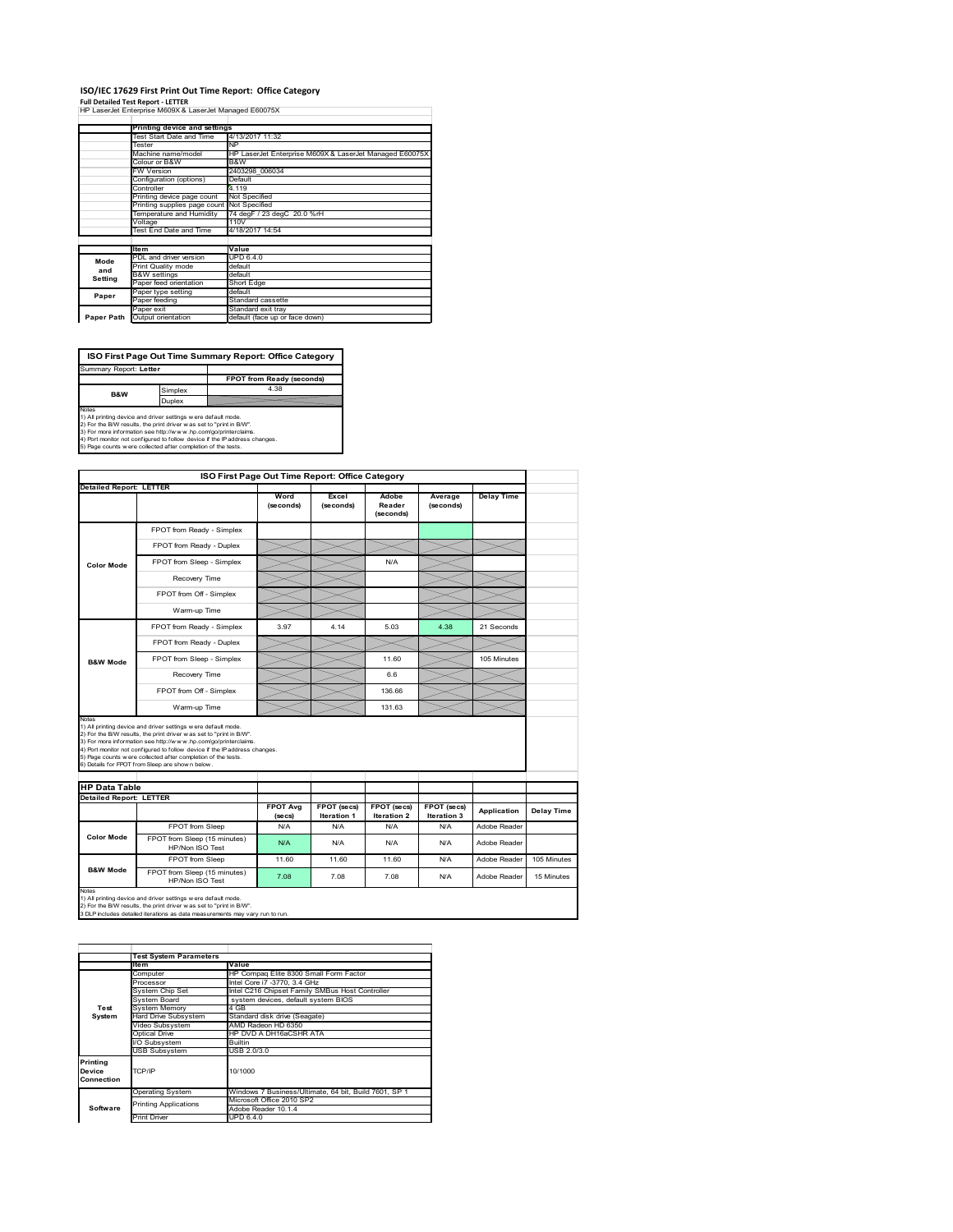### **ISO/IEC 17629 First Print Out Time Report: Office Category**

**Full Detailed Test Report ‐ LETTER** HP LaserJet Enterprise M609X & LaserJet Managed E60075X

|            | Printing device and settings               |                                                         |
|------------|--------------------------------------------|---------------------------------------------------------|
|            | Test Start Date and Time                   | 4/13/2017 11:32                                         |
|            | Tester                                     | <b>NP</b>                                               |
|            | Machine name/model                         | HP LaserJet Enterprise M609X & LaserJet Managed E60075X |
|            | Colour or B&W                              | B&W                                                     |
|            | <b>FW Version</b>                          | 2403298 006034                                          |
|            | Configuration (options)                    | Default                                                 |
|            | Controller                                 | 4.119                                                   |
|            | Printing device page count                 | Not Specified                                           |
|            | Printing supplies page count Not Specified |                                                         |
|            | Temperature and Humidity                   | 74 degF / 23 degC 20.0 %rH                              |
|            | Voltage                                    | 110V                                                    |
|            | Test End Date and Time                     | 4/18/2017 14:54                                         |
|            |                                            |                                                         |
|            | <b>Item</b>                                | Value                                                   |
| Mode       | PDL and driver version                     | UPD 6.4.0                                               |
| and        | Print Quality mode                         | default                                                 |
| Setting    | <b>B&amp;W</b> settings                    | default                                                 |
|            | Paper feed orientation                     | Short Edge                                              |
| Paper      | Paper type setting                         | default                                                 |
|            | Paper feeding                              | Standard cassette                                       |
|            | Paper exit                                 | Standard exit tray                                      |
| Paper Path | Output orientation                         | default (face up or face down)                          |

**ISO First Page Out Time Summary Report: Office Category**

**FPOT from Ready (seconds)**<br>Simplex 4.38 **Duplex**<br>
Notes<br>
1) All printing device and driver settings were default mode.<br>
2) For the BM reaults, the print driver was set to "print in BM".<br>
4) For more information see http://www.hp.com/golprinterclaims.<br>
4) Port mo Summary Report: **Letter B&W**

|                                                        | ISO First Page Out Time Report: Office Category                                                                                                                                                                                                                                                                                                                                                             |                            |                                   |                                   |                            |                   |             |
|--------------------------------------------------------|-------------------------------------------------------------------------------------------------------------------------------------------------------------------------------------------------------------------------------------------------------------------------------------------------------------------------------------------------------------------------------------------------------------|----------------------------|-----------------------------------|-----------------------------------|----------------------------|-------------------|-------------|
| <b>Detailed Report: LETTER</b>                         |                                                                                                                                                                                                                                                                                                                                                                                                             |                            |                                   |                                   |                            |                   |             |
|                                                        |                                                                                                                                                                                                                                                                                                                                                                                                             | Word<br>(seconds)          | Excel<br>(seconds)                | Adobe<br>Reader<br>(seconds)      | Average<br>(seconds)       | <b>Delay Time</b> |             |
|                                                        | FPOT from Ready - Simplex                                                                                                                                                                                                                                                                                                                                                                                   |                            |                                   |                                   |                            |                   |             |
|                                                        | FPOT from Ready - Duplex                                                                                                                                                                                                                                                                                                                                                                                    |                            |                                   |                                   |                            |                   |             |
| <b>Color Mode</b>                                      | FPOT from Sleep - Simplex                                                                                                                                                                                                                                                                                                                                                                                   |                            |                                   | N/A                               |                            |                   |             |
|                                                        | Recovery Time                                                                                                                                                                                                                                                                                                                                                                                               |                            |                                   |                                   |                            |                   |             |
|                                                        | FPOT from Off - Simplex                                                                                                                                                                                                                                                                                                                                                                                     |                            |                                   |                                   |                            |                   |             |
|                                                        | Warm-up Time                                                                                                                                                                                                                                                                                                                                                                                                |                            |                                   |                                   |                            |                   |             |
|                                                        | FPOT from Ready - Simplex                                                                                                                                                                                                                                                                                                                                                                                   | 3.97                       | 4.14                              | 5.03                              | 4.38                       | 21 Seconds        |             |
|                                                        | FPOT from Ready - Duplex                                                                                                                                                                                                                                                                                                                                                                                    |                            |                                   |                                   |                            |                   |             |
| <b>B&amp;W Mode</b>                                    | FPOT from Sleep - Simplex                                                                                                                                                                                                                                                                                                                                                                                   |                            |                                   | 11.60                             |                            | 105 Minutes       |             |
|                                                        | Recovery Time                                                                                                                                                                                                                                                                                                                                                                                               |                            |                                   | 6.6                               |                            |                   |             |
|                                                        |                                                                                                                                                                                                                                                                                                                                                                                                             |                            |                                   |                                   |                            |                   |             |
|                                                        | FPOT from Off - Simplex                                                                                                                                                                                                                                                                                                                                                                                     |                            |                                   | 136.66                            |                            |                   |             |
| Notes                                                  | Warm-up Time                                                                                                                                                                                                                                                                                                                                                                                                |                            |                                   | 131.63                            |                            |                   |             |
| <b>HP Data Table</b><br><b>Detailed Report: LETTER</b> | 1) All printing device and driver settings w ere default mode.<br>2) For the B/W results, the print driver was set to "print in B/W".<br>3) For more information see http://www.hp.com/go/printerclaims.<br>4) Port monitor not configured to follow device if the IP address changes.<br>5) Page counts w ere collected after completion of the tests.<br>6) Details for FPOT from Sleep are show n below. |                            |                                   |                                   |                            |                   |             |
|                                                        |                                                                                                                                                                                                                                                                                                                                                                                                             | <b>FPOT Avg</b><br>(se cs) | FPOT (secs)<br><b>Iteration 1</b> | FPOT (secs)<br><b>Iteration 2</b> | FPOT (secs)<br>Iteration 3 | Application       | Delay Time  |
|                                                        | FPOT from Sleep                                                                                                                                                                                                                                                                                                                                                                                             | N/A                        | N/A                               | N/A                               | N/A                        | Adobe Reader      |             |
| <b>Color Mode</b>                                      | FPOT from Sleep (15 minutes)<br>HP/Non ISO Test                                                                                                                                                                                                                                                                                                                                                             | N/A                        | N/A                               | N/A                               | N/A                        | Adobe Reader      |             |
| <b>B&amp;W Mode</b>                                    | FPOT from Sleep                                                                                                                                                                                                                                                                                                                                                                                             | 11.60                      | 11.60                             | 11.60                             | N/A                        | Adobe Reader      | 105 Minutes |

|                                  | <b>Test System Parameters</b> |                                                       |  |  |  |  |
|----------------------------------|-------------------------------|-------------------------------------------------------|--|--|--|--|
|                                  | <b>Item</b>                   | Value                                                 |  |  |  |  |
|                                  | Computer                      | HP Compaq Elite 8300 Small Form Factor                |  |  |  |  |
|                                  | Processor                     | Intel Core i7 -3770, 3.4 GHz                          |  |  |  |  |
|                                  | System Chip Set               | Intel C216 Chipset Family SMBus Host Controller       |  |  |  |  |
|                                  | System Board                  | system devices, default system BIOS                   |  |  |  |  |
| Test                             | <b>System Memory</b>          | 4 GB                                                  |  |  |  |  |
| System                           | Hard Drive Subsystem          | Standard disk drive (Seagate)                         |  |  |  |  |
|                                  | Video Subsystem               | AMD Radeon HD 6350                                    |  |  |  |  |
|                                  | Optical Drive                 | HP DVD A DH16aCSHR ATA                                |  |  |  |  |
|                                  | I/O Subsystem                 | <b>Builtin</b>                                        |  |  |  |  |
|                                  | <b>USB Subsystem</b>          | USB 2.0/3.0                                           |  |  |  |  |
| Printing<br>Device<br>Connection | TCP/IP                        | 10/1000                                               |  |  |  |  |
|                                  | <b>Operating System</b>       | Windows 7 Business/Ultimate, 64 bit, Build 7601, SP 1 |  |  |  |  |
|                                  | <b>Printing Applications</b>  | Microsoft Office 2010 SP2                             |  |  |  |  |
| Software                         |                               | Adobe Reader 10.1.4                                   |  |  |  |  |
|                                  | <b>Print Driver</b>           | UPD 6.4.0                                             |  |  |  |  |